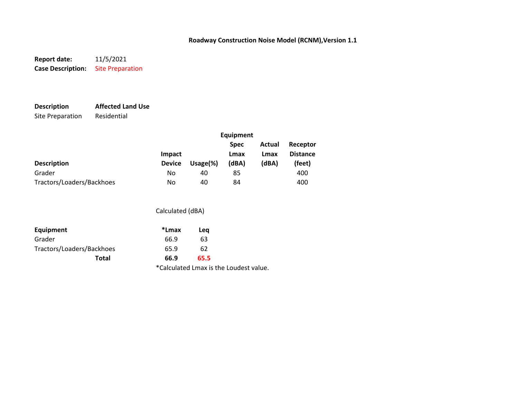**Report date:** 11/5/2021 **Case Description:** Site Preparation

# **Description Affected Land Use**

Site Preparation Residential

|                           | Equipment     |         |                     |                |                             |
|---------------------------|---------------|---------|---------------------|----------------|-----------------------------|
|                           | Impact        |         | <b>Spec</b><br>Lmax | Actual<br>Lmax | Receptor<br><b>Distance</b> |
| <b>Description</b>        | <b>Device</b> | Usage%) | (dBA)               | (dBA)          | (feet)                      |
| Grader                    | No            | 40      | 85                  |                | 400                         |
| Tractors/Loaders/Backhoes | No            | 40      | 84                  |                | 400                         |

### Calculated (dBA)

| Equipment                 | *Lmax                                  | Lea  |  |
|---------------------------|----------------------------------------|------|--|
| Grader                    | 66.9                                   | 63   |  |
| Tractors/Loaders/Backhoes | 65.9                                   | 62   |  |
| Total                     | 66.9                                   | 65.5 |  |
|                           | *Calculated Lmax is the Loudest value. |      |  |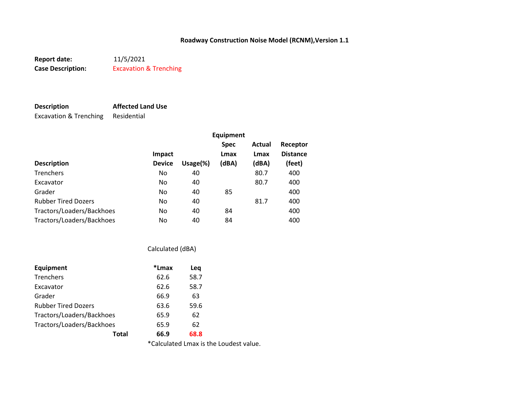**Report date:** 11/5/2021 **Case Description:** Excavation & Trenching

Excavation & Trenching Residential

**Description Affected Land Use**

**Equipment Spec Actual Receptor Impact Lmax Lmax Distance Description Device Usage(%) (dBA) (dBA) (feet)** Trenchers 10 80.7 400 No 40 80.7 400 Excavator 10 80.7 400 No 40 80.7 400 Grader No 40 85 400 Rubber Tired Dozers **No** 81.7 400 Tractors/Loaders/Backhoes No 40 84 400 Tractors/Loaders/Backhoes No 40 84 400

### Calculated (dBA)

| Equipment                  | *Lmax | Leq  |  |
|----------------------------|-------|------|--|
| Trenchers                  | 62.6  | 58.7 |  |
| Excavator                  | 62.6  | 58.7 |  |
| Grader                     | 66.9  | 63   |  |
| <b>Rubber Tired Dozers</b> | 63.6  | 59.6 |  |
| Tractors/Loaders/Backhoes  | 65.9  | 62   |  |
| Tractors/Loaders/Backhoes  | 65.9  | 62   |  |
| Total                      | 66.9  | 68.8 |  |

\*Calculated Lmax is the Loudest value.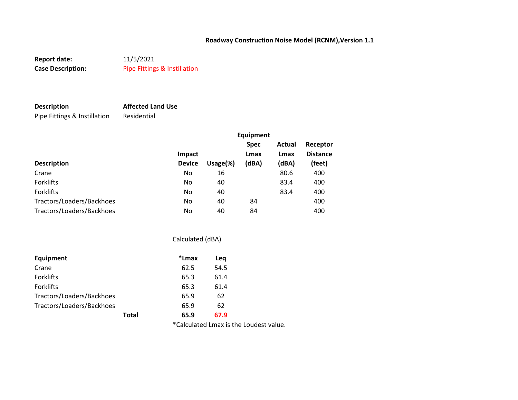**Report date:** 11/5/2021 **Case Description:** Pipe Fittings & Instillation

## **Description Affected Land Use**

Pipe Fittings & Instillation Residential

|                           |               |              | <b>Equipment</b> |        |                 |
|---------------------------|---------------|--------------|------------------|--------|-----------------|
|                           |               |              | <b>Spec</b>      | Actual | Receptor        |
|                           | <b>Impact</b> |              | Lmax             | Lmax   | <b>Distance</b> |
| <b>Description</b>        | <b>Device</b> | Usage $(\%)$ | (dBA)            | (dBA)  | (feet)          |
| Crane                     | No            | 16           |                  | 80.6   | 400             |
| <b>Forklifts</b>          | No            | 40           |                  | 83.4   | 400             |
| Forklifts                 | No            | 40           |                  | 83.4   | 400             |
| Tractors/Loaders/Backhoes | No            | 40           | 84               |        | 400             |
| Tractors/Loaders/Backhoes | No            | 40           | 84               |        | 400             |

|                           |       | Calculated (dBA) |  |  |
|---------------------------|-------|------------------|--|--|
| Equipment                 | *Lmax | Leg              |  |  |
| Crane                     | 62.5  | 54.5             |  |  |
| <b>Forklifts</b>          | 65.3  | 61.4             |  |  |
| <b>Forklifts</b>          | 65.3  | 61.4             |  |  |
| Tractors/Loaders/Backhoes | 65.9  | 62               |  |  |
| Tractors/Loaders/Backhoes | 65.9  | 62               |  |  |
| Total                     | 65.9  | 67.9             |  |  |

\*Calculated Lmax is the Loudest value.